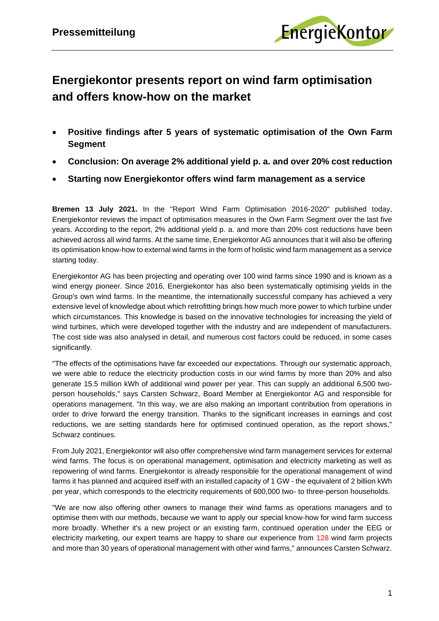

## **Energiekontor presents report on wind farm optimisation and offers know-how on the market**

- **Positive findings after 5 years of systematic optimisation of the Own Farm Segment**
- **Conclusion: On average 2% additional yield p. a. and over 20% cost reduction**
- **Starting now Energiekontor offers wind farm management as a service**

**Bremen 13 July 2021.** In the "Report Wind Farm Optimisation 2016-2020" published today, Energiekontor reviews the impact of optimisation measures in the Own Farm Segment over the last five years. According to the report, 2% additional yield p. a. and more than 20% cost reductions have been achieved across all wind farms. At the same time, Energiekontor AG announces that it will also be offering its optimisation know-how to external wind farms in the form of holistic wind farm management as a service starting today.

Energiekontor AG has been projecting and operating over 100 wind farms since 1990 and is known as a wind energy pioneer. Since 2016, Energiekontor has also been systematically optimising yields in the Group's own wind farms. In the meantime, the internationally successful company has achieved a very extensive level of knowledge about which retrofitting brings how much more power to which turbine under which circumstances. This knowledge is based on the innovative technologies for increasing the yield of wind turbines, which were developed together with the industry and are independent of manufacturers. The cost side was also analysed in detail, and numerous cost factors could be reduced, in some cases significantly.

"The effects of the optimisations have far exceeded our expectations. Through our systematic approach, we were able to reduce the electricity production costs in our wind farms by more than 20% and also generate 15.5 million kWh of additional wind power per year. This can supply an additional 6,500 twoperson households," says Carsten Schwarz, Board Member at Energiekontor AG and responsible for operations management. "In this way, we are also making an important contribution from operations in order to drive forward the energy transition. Thanks to the significant increases in earnings and cost reductions, we are setting standards here for optimised continued operation, as the report shows," Schwarz continues.

From July 2021, Energiekontor will also offer comprehensive wind farm management services for external wind farms. The focus is on operational management, optimisation and electricity marketing as well as repowering of wind farms. Energiekontor is already responsible for the operational management of wind farms it has planned and acquired itself with an installed capacity of 1 GW - the equivalent of 2 billion kWh per year, which corresponds to the electricity requirements of 600,000 two- to three-person households.

"We are now also offering other owners to manage their wind farms as operations managers and to optimise them with our methods, because we want to apply our special know-how for wind farm success more broadly. Whether it's a new project or an existing farm, continued operation under the EEG or electricity marketing, our expert teams are happy to share our experience from 128 wind farm projects and more than 30 years of operational management with other wind farms," announces Carsten Schwarz.